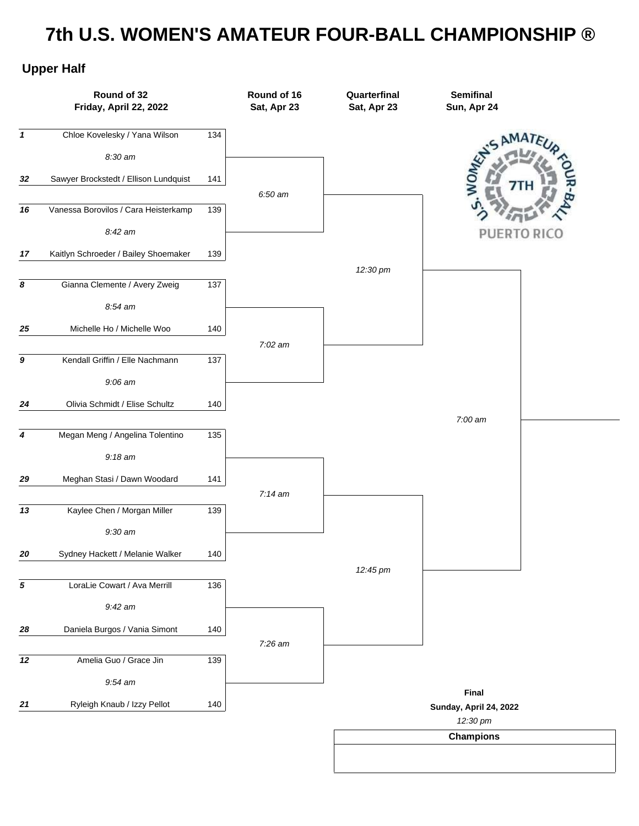## **7th U.S. WOMEN'S AMATEUR FOUR-BALL CHAMPIONSHIP ®**

## **Upper Half**